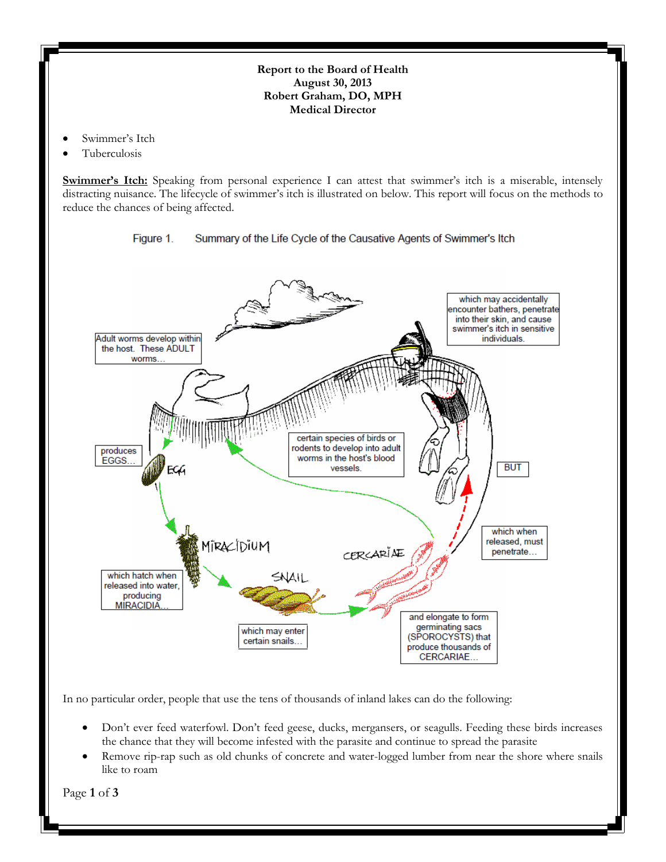## **Report to the Board of Health August 30, 2013 Robert Graham, DO, MPH Medical Director**

- Swimmer's Itch
- Tuberculosis

**Swimmer's Itch:** Speaking from personal experience I can attest that swimmer's itch is a miserable, intensely distracting nuisance. The lifecycle of swimmer's itch is illustrated on below. This report will focus on the methods to reduce the chances of being affected.





In no particular order, people that use the tens of thousands of inland lakes can do the following:

- Don't ever feed waterfowl. Don't feed geese, ducks, mergansers, or seagulls. Feeding these birds increases the chance that they will become infested with the parasite and continue to spread the parasite
- Remove rip-rap such as old chunks of concrete and water-logged lumber from near the shore where snails like to roam

Page **1** of **3**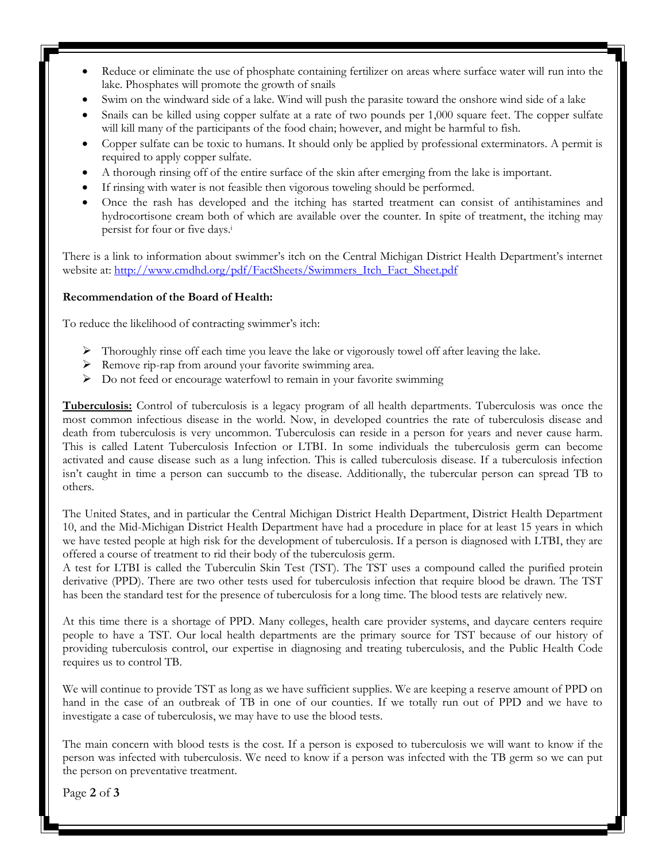- Reduce or eliminate the use of phosphate containing fertilizer on areas where surface water will run into the lake. Phosphates will promote the growth of snails
- Swim on the windward side of a lake. Wind will push the parasite toward the onshore wind side of a lake
- Snails can be killed using copper sulfate at a rate of two pounds per 1,000 square feet. The copper sulfate will kill many of the participants of the food chain; however, and might be harmful to fish.
- Copper sulfate can be toxic to humans. It should only be applied by professional exterminators. A permit is required to apply copper sulfate.
- A thorough rinsing off of the entire surface of the skin after emerging from the lake is important.
- If rinsing with water is not feasible then vigorous toweling should be performed.
- Once the rash has developed and the itching has started treatment can consist of antihistamines and hydrocortisone cream both of which are available over the counter. In spite of treatment, the itching may persist for four or five days.<sup>i</sup>

There is a link to information about swimmer's itch on the Central Michigan District Health Department's internet website at: [http://www.cmdhd.org/pdf/FactSheets/Swimmers\\_Itch\\_Fact\\_Sheet.pdf](http://www.cmdhd.org/pdf/FactSheets/Swimmers_Itch_Fact_Sheet.pdf)

## **Recommendation of the Board of Health:**

To reduce the likelihood of contracting swimmer's itch:

- $\triangleright$  Thoroughly rinse off each time you leave the lake or vigorously towel off after leaving the lake.
- Remove rip-rap from around your favorite swimming area.
- $\triangleright$  Do not feed or encourage waterfowl to remain in your favorite swimming

**Tuberculosis:** Control of tuberculosis is a legacy program of all health departments. Tuberculosis was once the most common infectious disease in the world. Now, in developed countries the rate of tuberculosis disease and death from tuberculosis is very uncommon. Tuberculosis can reside in a person for years and never cause harm. This is called Latent Tuberculosis Infection or LTBI. In some individuals the tuberculosis germ can become activated and cause disease such as a lung infection. This is called tuberculosis disease. If a tuberculosis infection isn't caught in time a person can succumb to the disease. Additionally, the tubercular person can spread TB to others.

The United States, and in particular the Central Michigan District Health Department, District Health Department 10, and the Mid-Michigan District Health Department have had a procedure in place for at least 15 years in which we have tested people at high risk for the development of tuberculosis. If a person is diagnosed with LTBI, they are offered a course of treatment to rid their body of the tuberculosis germ.

A test for LTBI is called the Tuberculin Skin Test (TST). The TST uses a compound called the purified protein derivative (PPD). There are two other tests used for tuberculosis infection that require blood be drawn. The TST has been the standard test for the presence of tuberculosis for a long time. The blood tests are relatively new.

At this time there is a shortage of PPD. Many colleges, health care provider systems, and daycare centers require people to have a TST. Our local health departments are the primary source for TST because of our history of providing tuberculosis control, our expertise in diagnosing and treating tuberculosis, and the Public Health Code requires us to control TB.

We will continue to provide TST as long as we have sufficient supplies. We are keeping a reserve amount of PPD on hand in the case of an outbreak of TB in one of our counties. If we totally run out of PPD and we have to investigate a case of tuberculosis, we may have to use the blood tests.

The main concern with blood tests is the cost. If a person is exposed to tuberculosis we will want to know if the person was infected with tuberculosis. We need to know if a person was infected with the TB germ so we can put the person on preventative treatment.

Page **2** of **3**